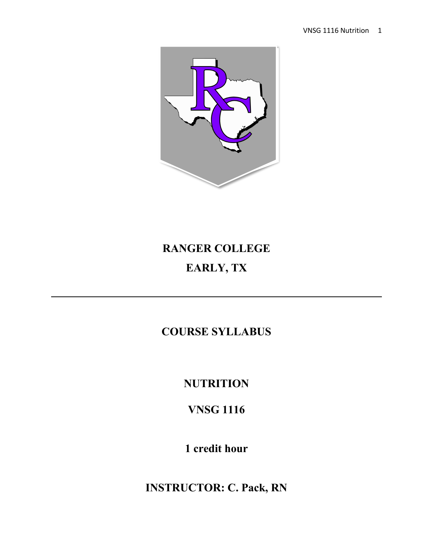

# **RANGER COLLEGE EARLY, TX**

# **COURSE SYLLABUS**

**NUTRITION**

**VNSG 1116**

**1 credit hour**

**INSTRUCTOR: C. Pack, RN**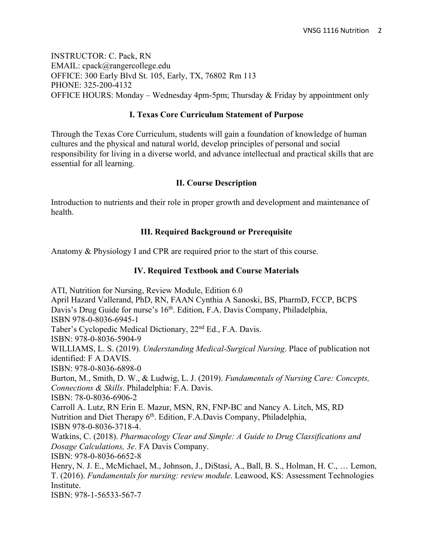INSTRUCTOR: C. Pack, RN EMAIL: cpack@rangercollege.edu OFFICE: 300 Early Blvd St. 105, Early, TX, 76802 Rm 113 PHONE: 325-200-4132 OFFICE HOURS: Monday – Wednesday 4pm-5pm; Thursday  $\&$  Friday by appointment only

# **I. Texas Core Curriculum Statement of Purpose**

Through the Texas Core Curriculum, students will gain a foundation of knowledge of human cultures and the physical and natural world, develop principles of personal and social responsibility for living in a diverse world, and advance intellectual and practical skills that are essential for all learning.

# **II. Course Description**

Introduction to nutrients and their role in proper growth and development and maintenance of health.

# **III. Required Background or Prerequisite**

Anatomy & Physiology I and CPR are required prior to the start of this course.

# **IV. Required Textbook and Course Materials**

ATI, Nutrition for Nursing, Review Module, Edition 6.0 April Hazard Vallerand, PhD, RN, FAAN Cynthia A Sanoski, BS, PharmD, FCCP, BCPS Davis's Drug Guide for nurse's 16<sup>th</sup>. Edition, F.A. Davis Company, Philadelphia, ISBN 978-0-8036-6945-1 Taber's Cyclopedic Medical Dictionary, 22nd Ed., F.A. Davis. ISBN: 978-0-8036-5904-9 WILLIAMS, L. S. (2019). *Understanding Medical-Surgical Nursing*. Place of publication not identified: F A DAVIS. ISBN: 978-0-8036-6898-0 Burton, M., Smith, D. W., & Ludwig, L. J. (2019). *Fundamentals of Nursing Care: Concepts, Connections & Skills*. Philadelphia: F.A. Davis. ISBN: 78-0-8036-6906-2 Carroll A. Lutz, RN Erin E. Mazur, MSN, RN, FNP-BC and Nancy A. Litch, MS, RD Nutrition and Diet Therapy 6th. Edition, F.A.Davis Company, Philadelphia, ISBN 978-0-8036-3718-4. Watkins, C. (2018). *Pharmacology Clear and Simple: A Guide to Drug Classifications and Dosage Calculations, 3e*. FA Davis Company. ISBN: 978-0-8036-6652-8 Henry, N. J. E., McMichael, M., Johnson, J., DiStasi, A., Ball, B. S., Holman, H. C., … Lemon, T. (2016). *Fundamentals for nursing: review module*. Leawood, KS: Assessment Technologies Institute.

ISBN: 978-1-56533-567-7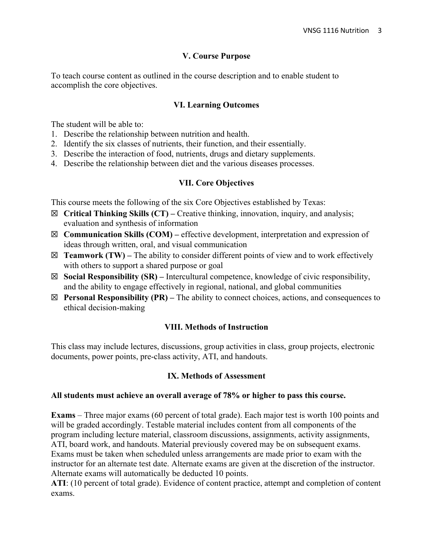#### **V. Course Purpose**

To teach course content as outlined in the course description and to enable student to accomplish the core objectives.

#### **VI. Learning Outcomes**

The student will be able to:

- 1. Describe the relationship between nutrition and health.
- 2. Identify the six classes of nutrients, their function, and their essentially.
- 3. Describe the interaction of food, nutrients, drugs and dietary supplements.
- 4. Describe the relationship between diet and the various diseases processes.

#### **VII. Core Objectives**

This course meets the following of the six Core Objectives established by Texas:

- ☒ **Critical Thinking Skills (CT) –** Creative thinking, innovation, inquiry, and analysis; evaluation and synthesis of information
- ☒ **Communication Skills (COM) –** effective development, interpretation and expression of ideas through written, oral, and visual communication
- $\boxtimes$  **Teamwork (TW)** The ability to consider different points of view and to work effectively with others to support a shared purpose or goal
- ☒ **Social Responsibility (SR) –** Intercultural competence, knowledge of civic responsibility, and the ability to engage effectively in regional, national, and global communities
- ☒ **Personal Responsibility (PR) –** The ability to connect choices, actions, and consequences to ethical decision-making

#### **VIII. Methods of Instruction**

This class may include lectures, discussions, group activities in class, group projects, electronic documents, power points, pre-class activity, ATI, and handouts.

#### **IX. Methods of Assessment**

#### **All students must achieve an overall average of 78% or higher to pass this course.**

**Exams** – Three major exams (60 percent of total grade). Each major test is worth 100 points and will be graded accordingly. Testable material includes content from all components of the program including lecture material, classroom discussions, assignments, activity assignments, ATI, board work, and handouts. Material previously covered may be on subsequent exams. Exams must be taken when scheduled unless arrangements are made prior to exam with the instructor for an alternate test date. Alternate exams are given at the discretion of the instructor. Alternate exams will automatically be deducted 10 points.

**ATI**: (10 percent of total grade). Evidence of content practice, attempt and completion of content exams.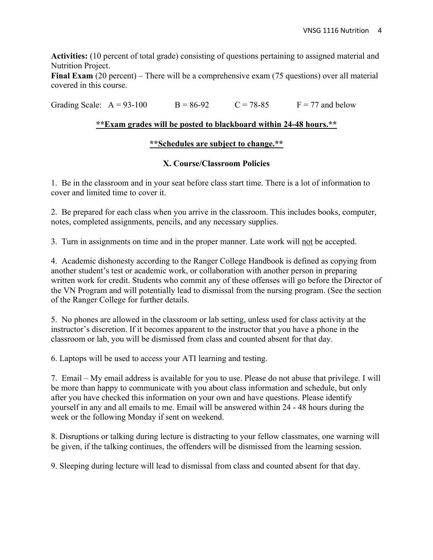**Activities:** (10 percent of total grade) consisting of questions pertaining to assigned material and Nutrition Project.

**Final Exam** (20 percent) – There will be a comprehensive exam (75 questions) over all material covered in this course.

Grading Scale:  $A = 93-100$  B = 86-92 C = 78-85 F = 77 and below

# **\*\*Exam grades will be posted to blackboard within 24-48 hours.\*\***

# **\*\*Schedules are subject to change.\*\***

# **X. Course/Classroom Policies**

1. Be in the classroom and in your seat before class start time. There is a lot of information to cover and limited time to cover it.

2. Be prepared for each class when you arrive in the classroom. This includes books, computer, notes, completed assignments, pencils, and any necessary supplies.

3. Turn in assignments on time and in the proper manner. Late work will not be accepted.

4. Academic dishonesty according to the Ranger College Handbook is defined as copying from another student's test or academic work, or collaboration with another person in preparing written work for credit. Students who commit any of these offenses will go before the Director of the VN Program and will potentially lead to dismissal from the nursing program. (See the section of the Ranger College for further details.

5. No phones are allowed in the classroom or lab setting, unless used for class activity at the instructor's discretion. If it becomes apparent to the instructor that you have a phone in the classroom or lab, you will be dismissed from class and counted absent for that day.

6. Laptops will be used to access your ATI learning and testing.

7. Email – My email address is available for you to use. Please do not abuse that privilege. I will be more than happy to communicate with you about class information and schedule, but only after you have checked this information on your own and have questions. Please identify yourself in any and all emails to me. Email will be answered within 24 - 48 hours during the week or the following Monday if sent on weekend.

8. Disruptions or talking during lecture is distracting to your fellow classmates, one warning will be given, if the talking continues, the offenders will be dismissed from the learning session.

9. Sleeping during lecture will lead to dismissal from class and counted absent for that day.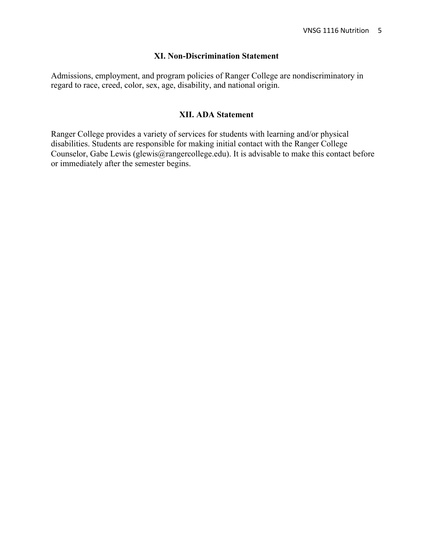#### **XI. Non-Discrimination Statement**

Admissions, employment, and program policies of Ranger College are nondiscriminatory in regard to race, creed, color, sex, age, disability, and national origin.

#### **XII. ADA Statement**

Ranger College provides a variety of services for students with learning and/or physical disabilities. Students are responsible for making initial contact with the Ranger College Counselor, Gabe Lewis (glewis@rangercollege.edu). It is advisable to make this contact before or immediately after the semester begins.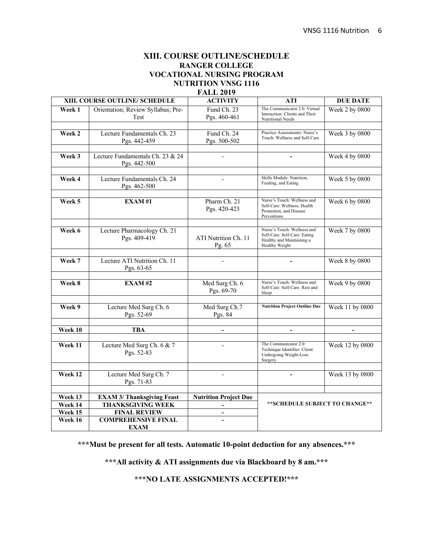#### **XIII. COURSE OUTLINE/SCHEDULE RANGER COLLEGE VOCATIONAL NURSING PROGRAM NUTRITION VNSG 1116 FALL 2019**

| XIII. COURSE OUTLINE/ SCHEDULE |                                                  | <b>ACTIVITY</b>                | <b>ATI</b>                                                                                                 | <b>DUE DATE</b> |
|--------------------------------|--------------------------------------------------|--------------------------------|------------------------------------------------------------------------------------------------------------|-----------------|
| Week 1                         | Orientation; Review Syllabus; Pre-<br>Test       | Fund Ch. 23<br>Pgs. 460-461    | The Communicator 2.0: Virtual<br>Interaction: Clients and Their<br>Nutritional Needs                       | Week 2 by 0800  |
| Week 2                         | Lecture Fundamentals Ch. 23<br>Pgs. 442-459      | Fund Ch. 24<br>Pgs. 500-502    | Practice Assessments: Nurse's<br>Touch: Wellness and Self-Care                                             | Week 3 by 0800  |
| Week 3                         | Lecture Fundamentals Ch. 23 & 24<br>Pgs. 442-500 |                                |                                                                                                            | Week 4 by 0800  |
| Week 4                         | Lecture Fundamentals Ch. 24<br>Pgs. 462-500      |                                | Skills Module: Nutrition,<br>Feeding, and Eating                                                           | Week 5 by 0800  |
| Week 5                         | EXAM#1                                           | Pharm Ch. 21<br>Pgs. 420-423   | Nurse's Touch: Wellness and<br>Self-Care: Wellness, Health<br>Promotion, and Disease<br>Preventions        | Week 6 by 0800  |
| Week 6                         | Lecture Pharmacology Ch. 21<br>Pgs. 409-419      | ATI Nutrition Ch. 11<br>Pg. 65 | Nurse's Touch: Wellness and<br>Self-Care: Self-Care: Eating<br>Healthy and Maintaining a<br>Healthy Weight | Week 7 by 0800  |
| Week 7                         | Lecture ATI Nutrition Ch. 11<br>Pgs. 63-65       |                                |                                                                                                            | Week 8 by 0800  |
| Week 8                         | <b>EXAM#2</b>                                    | Med Surg Ch. 6<br>Pgs. 69-70   | Nurse's Touch: Wellness and<br>Self-Care: Self-Care: Rest and<br>Sleep                                     | Week 9 by 0800  |
| Week 9                         | Lecture Med Surg Ch. 6<br>Pgs. 52-69             | Med Surg Ch.7<br>Pgs. 84       | <b>Nutrition Project Outline Due</b>                                                                       | Week 11 by 0800 |
| Week 10                        | <b>TBA</b>                                       | $\overline{\phantom{0}}$       | $\overline{\phantom{a}}$                                                                                   | $\overline{a}$  |
| Week 11                        | Lecture Med Surg Ch. 6 & 7<br>Pgs. 52-83         |                                | The Communicator 2.0:<br>Technique Identifier: Client<br>Undergoing Weight-Loss<br>Surgery.                | Week 12 by 0800 |
| Week 12                        | Lecture Med Surg Ch. 7<br>Pgs. 71-83             | $\overline{\phantom{a}}$       | $\blacksquare$                                                                                             | Week 13 by 0800 |
|                                |                                                  |                                |                                                                                                            |                 |
| Week 13                        | <b>EXAM 3/ Thanksgiving Feast</b>                | <b>Nutrition Project Due</b>   | **SCHEDULE SUBJECT TO CHANGE**                                                                             |                 |
| Week 14                        | <b>THANKSGIVING WEEK</b>                         | $\overline{a}$                 |                                                                                                            |                 |
| Week 15                        | <b>FINAL REVIEW</b>                              |                                |                                                                                                            |                 |
| Week 16                        | <b>COMPREHENSIVE FINAL</b><br><b>EXAM</b>        |                                |                                                                                                            |                 |

**\*\*\*Must be present for all tests. Automatic 10-point deduction for any absences.\*\*\***

**\*\*\*All activity & ATI assignments due via Blackboard by 8 am.\*\*\***

**\*\*\*NO LATE ASSIGNMENTS ACCEPTED!\*\*\***